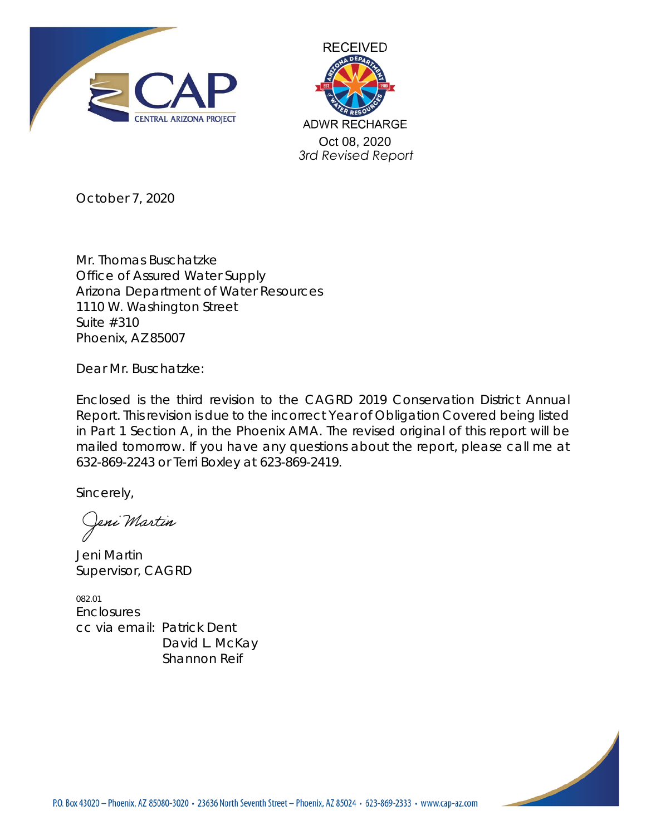



October 7, 2020

Mr. Thomas Buschatzke Office of Assured Water Supply Arizona Department of Water Resources 1110 W. Washington Street Suite #310 Phoenix, AZ 85007

Dear Mr. Buschatzke:

Enclosed is the third revision to the CAGRD 2019 Conservation District Annual Report. This revision is due to the incorrect Year of Obligation Covered being listed in Part 1 Section A, in the Phoenix AMA. The revised original of this report will be mailed tomorrow. If you have any questions about the report, please call me at 632-869-2243 or Terri Boxley at 623-869-2419.

Sincerely,

eni Martin

Jeni Martin Supervisor, CAGRD

082.01 **Enclosures** cc via email: Patrick Dent David L. McKay Shannon Reif

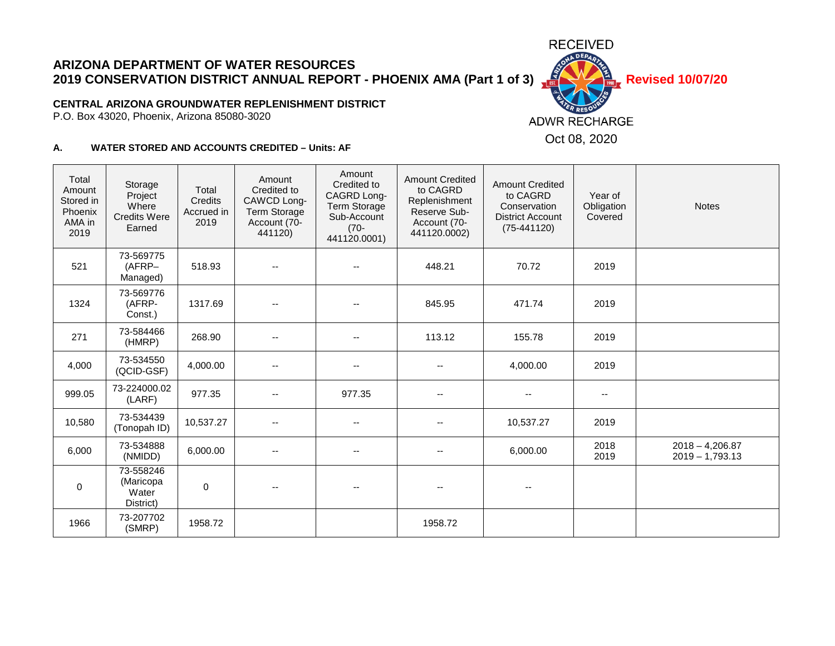# **ARIZONA DEPARTMENT OF WATER RESOURCES 2019 CONSERVATION DISTRICT ANNUAL REPORT - PHOENIX AMA (Part 1 of 3)**  $\frac{15}{100}$  Revised 10/07/20

### **CENTRAL ARIZONA GROUNDWATER REPLENISHMENT DISTRICT**

P.O. Box 43020, Phoenix, Arizona 85080-3020

#### **A. WATER STORED AND ACCOUNTS CREDITED – Units: AF**

| Total<br>Amount<br>Stored in<br>Phoenix<br>AMA in<br>2019 | Storage<br>Project<br>Where<br><b>Credits Were</b><br>Earned | Total<br>Credits<br>Accrued in<br>2019 | Amount<br>Credited to<br>CAWCD Long-<br><b>Term Storage</b><br>Account (70-<br>441120) | Amount<br>Credited to<br>CAGRD Long-<br><b>Term Storage</b><br>Sub-Account<br>$(70 -$<br>441120.0001) | <b>Amount Credited</b><br>to CAGRD<br>Replenishment<br>Reserve Sub-<br>Account (70-<br>441120.0002) | <b>Amount Credited</b><br>to CAGRD<br>Conservation<br><b>District Account</b><br>$(75-441120)$ | Year of<br>Obligation<br>Covered | <b>Notes</b>                           |
|-----------------------------------------------------------|--------------------------------------------------------------|----------------------------------------|----------------------------------------------------------------------------------------|-------------------------------------------------------------------------------------------------------|-----------------------------------------------------------------------------------------------------|------------------------------------------------------------------------------------------------|----------------------------------|----------------------------------------|
| 521                                                       | 73-569775<br>(AFRP-<br>Managed)                              | 518.93                                 | $\overline{\phantom{a}}$                                                               | $\overline{\phantom{a}}$                                                                              | 448.21                                                                                              | 70.72                                                                                          | 2019                             |                                        |
| 1324                                                      | 73-569776<br>(AFRP-<br>Const.)                               | 1317.69                                |                                                                                        |                                                                                                       | 845.95                                                                                              | 471.74                                                                                         | 2019                             |                                        |
| 271                                                       | 73-584466<br>(HMRP)                                          | 268.90                                 | $\overline{\phantom{a}}$                                                               | $\overline{\phantom{a}}$                                                                              | 113.12                                                                                              | 155.78                                                                                         | 2019                             |                                        |
| 4,000                                                     | 73-534550<br>(QCID-GSF)                                      | 4,000.00                               | $\sim$                                                                                 | $\overline{\phantom{a}}$                                                                              | $\overline{\phantom{a}}$                                                                            | 4,000.00                                                                                       | 2019                             |                                        |
| 999.05                                                    | 73-224000.02<br>(LARF)                                       | 977.35                                 | $\sim$                                                                                 | 977.35                                                                                                | $-$                                                                                                 | $\overline{\phantom{a}}$                                                                       | $\overline{\phantom{a}}$         |                                        |
| 10,580                                                    | 73-534439<br>(Tonopah ID)                                    | 10,537.27                              | $\overline{\phantom{a}}$                                                               | $\overline{\phantom{a}}$                                                                              |                                                                                                     | 10,537.27                                                                                      | 2019                             |                                        |
| 6,000                                                     | 73-534888<br>(NMIDD)                                         | 6,000.00                               | $\sim$ $\sim$                                                                          | $\overline{\phantom{a}}$                                                                              | $\sim$ $\sim$                                                                                       | 6,000.00                                                                                       | 2018<br>2019                     | $2018 - 4,206.87$<br>$2019 - 1,793.13$ |
| $\pmb{0}$                                                 | 73-558246<br>(Maricopa<br>Water<br>District)                 | $\mathbf 0$                            | $\overline{\phantom{a}}$                                                               | $\overline{\phantom{a}}$                                                                              | $\overline{\phantom{a}}$                                                                            | --                                                                                             |                                  |                                        |
| 1966                                                      | 73-207702<br>(SMRP)                                          | 1958.72                                |                                                                                        |                                                                                                       | 1958.72                                                                                             |                                                                                                |                                  |                                        |

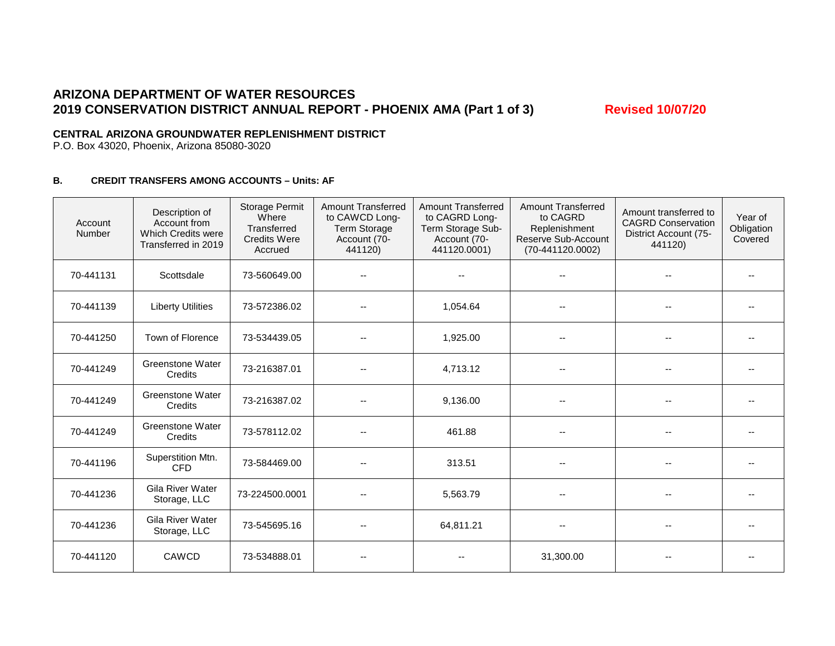## **ARIZONA DEPARTMENT OF WATER RESOURCES** 2019 CONSERVATION DISTRICT ANNUAL REPORT - PHOENIX AMA (Part 1 of 3) Revised 10/07/20

### **CENTRAL ARIZONA GROUNDWATER REPLENISHMENT DISTRICT**

P.O. Box 43020, Phoenix, Arizona 85080-3020

### **B. CREDIT TRANSFERS AMONG ACCOUNTS – Units: AF**

| Account<br>Number | Description of<br>Account from<br>Which Credits were<br>Transferred in 2019 | <b>Storage Permit</b><br>Where<br>Transferred<br><b>Credits Were</b><br>Accrued | <b>Amount Transferred</b><br>to CAWCD Long-<br><b>Term Storage</b><br>Account (70-<br>441120) | <b>Amount Transferred</b><br>to CAGRD Long-<br>Term Storage Sub-<br>Account (70-<br>441120.0001) | <b>Amount Transferred</b><br>to CAGRD<br>Replenishment<br>Reserve Sub-Account<br>$(70-441120.0002)$ | Amount transferred to<br><b>CAGRD Conservation</b><br>District Account (75-<br>441120) | Year of<br>Obligation<br>Covered |
|-------------------|-----------------------------------------------------------------------------|---------------------------------------------------------------------------------|-----------------------------------------------------------------------------------------------|--------------------------------------------------------------------------------------------------|-----------------------------------------------------------------------------------------------------|----------------------------------------------------------------------------------------|----------------------------------|
| 70-441131         | Scottsdale                                                                  | 73-560649.00                                                                    |                                                                                               |                                                                                                  |                                                                                                     |                                                                                        |                                  |
| 70-441139         | <b>Liberty Utilities</b>                                                    | 73-572386.02                                                                    |                                                                                               | 1,054.64                                                                                         |                                                                                                     |                                                                                        |                                  |
| 70-441250         | Town of Florence                                                            | 73-534439.05                                                                    |                                                                                               | 1,925.00                                                                                         |                                                                                                     |                                                                                        |                                  |
| 70-441249         | Greenstone Water<br>Credits                                                 | 73-216387.01                                                                    |                                                                                               | 4,713.12                                                                                         |                                                                                                     | $\overline{\phantom{a}}$                                                               | $\overline{\phantom{a}}$         |
| 70-441249         | <b>Greenstone Water</b><br>Credits                                          | 73-216387.02                                                                    | $\overline{\phantom{a}}$                                                                      | 9,136.00                                                                                         |                                                                                                     |                                                                                        | $\overline{\phantom{a}}$         |
| 70-441249         | <b>Greenstone Water</b><br>Credits                                          | 73-578112.02                                                                    |                                                                                               | 461.88                                                                                           |                                                                                                     |                                                                                        | $-$                              |
| 70-441196         | Superstition Mtn.<br><b>CFD</b>                                             | 73-584469.00                                                                    |                                                                                               | 313.51                                                                                           |                                                                                                     |                                                                                        |                                  |
| 70-441236         | <b>Gila River Water</b><br>Storage, LLC                                     | 73-224500.0001                                                                  |                                                                                               | 5,563.79                                                                                         |                                                                                                     |                                                                                        |                                  |
| 70-441236         | Gila River Water<br>Storage, LLC                                            | 73-545695.16                                                                    |                                                                                               | 64,811.21                                                                                        |                                                                                                     | $\overline{\phantom{a}}$                                                               | $\overline{\phantom{a}}$         |
| 70-441120         | CAWCD                                                                       | 73-534888.01                                                                    |                                                                                               |                                                                                                  | 31,300.00                                                                                           |                                                                                        | $\overline{\phantom{m}}$         |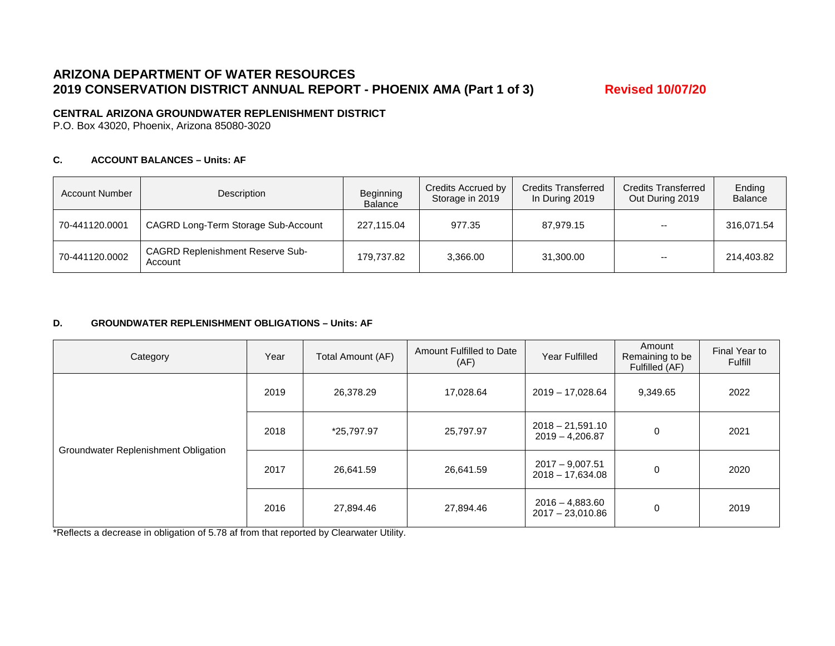### **ARIZONA DEPARTMENT OF WATER RESOURCES** 2019 CONSERVATION DISTRICT ANNUAL REPORT - PHOENIX AMA (Part 1 of 3) Revised 10/07/20

### **CENTRAL ARIZONA GROUNDWATER REPLENISHMENT DISTRICT**

P.O. Box 43020, Phoenix, Arizona 85080-3020

#### **C. ACCOUNT BALANCES – Units: AF**

| <b>Account Number</b> | Description                                        | Beginning<br>Balance | Credits Accrued by<br>Storage in 2019 | <b>Credits Transferred</b><br>In During 2019 | <b>Credits Transferred</b><br>Out During 2019 | Ending<br><b>Balance</b> |
|-----------------------|----------------------------------------------------|----------------------|---------------------------------------|----------------------------------------------|-----------------------------------------------|--------------------------|
| 70-441120.0001        | CAGRD Long-Term Storage Sub-Account                | 227.115.04           | 977.35                                | 87,979.15                                    | $- -$                                         | 316,071.54               |
| 70-441120.0002        | <b>CAGRD Replenishment Reserve Sub-</b><br>Account | 179,737.82           | 3,366.00                              | 31,300.00                                    | $- -$                                         | 214,403.82               |

#### **D. GROUNDWATER REPLENISHMENT OBLIGATIONS – Units: AF**

| Category                             | Year               | Total Amount (AF) | Amount Fulfilled to Date<br>(AF) | Year Fulfilled                          | Amount<br>Remaining to be<br>Fulfilled (AF) | Final Year to<br>Fulfill |
|--------------------------------------|--------------------|-------------------|----------------------------------|-----------------------------------------|---------------------------------------------|--------------------------|
|                                      | 2019               | 26,378.29         | 17,028.64<br>2019 - 17,028.64    |                                         | 9,349.65                                    | 2022                     |
|                                      | 2018<br>*25,797.97 |                   | 25,797.97                        | $2018 - 21,591.10$<br>$2019 - 4,206.87$ | 0                                           | 2021                     |
| Groundwater Replenishment Obligation | 2017               | 26,641.59         | 26,641.59                        | $2017 - 9,007.51$<br>$2018 - 17,634.08$ | 0                                           | 2020                     |
|                                      | 2016               | 27,894.46         | 27,894.46                        | $2016 - 4,883.60$<br>$2017 - 23,010.86$ | 0                                           | 2019                     |

\*Reflects a decrease in obligation of 5.78 af from that reported by Clearwater Utility.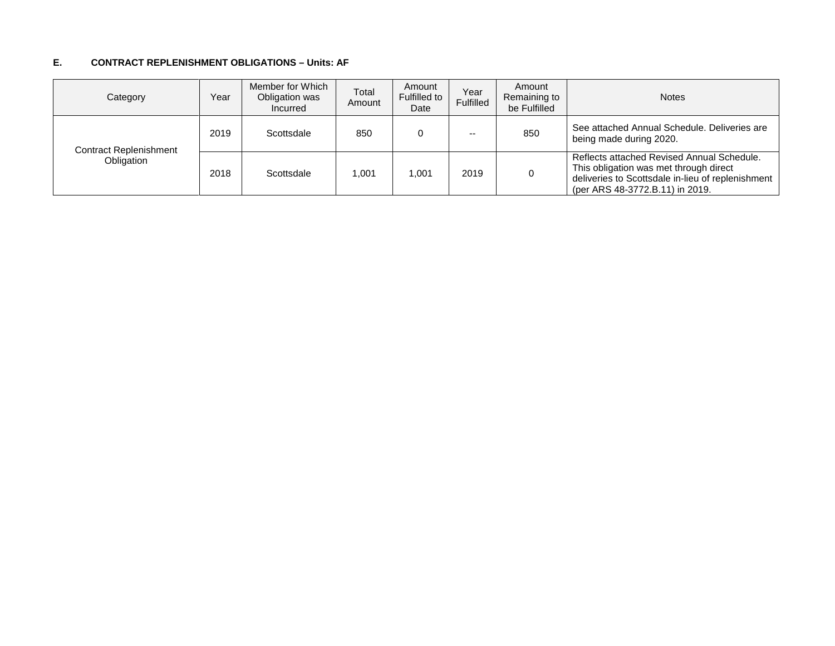#### **E. CONTRACT REPLENISHMENT OBLIGATIONS – Units: AF**

| Category               | Year | Member for Which<br>Obligation was<br>Incurred | Total<br>Amount | Amount<br>Fulfilled to<br>Date | Year<br>Fulfilled | Amount<br>Remaining to<br>be Fulfilled | <b>Notes</b>                                                                                                                                                                 |
|------------------------|------|------------------------------------------------|-----------------|--------------------------------|-------------------|----------------------------------------|------------------------------------------------------------------------------------------------------------------------------------------------------------------------------|
| Contract Replenishment | 2019 | Scottsdale                                     | 850             |                                | $- -$             | 850                                    | See attached Annual Schedule, Deliveries are<br>being made during 2020.                                                                                                      |
| Obligation             | 2018 | Scottsdale                                     | 1.001           | 1.001                          | 2019              |                                        | Reflects attached Revised Annual Schedule.<br>This obligation was met through direct<br>deliveries to Scottsdale in-lieu of replenishment<br>(per ARS 48-3772.B.11) in 2019. |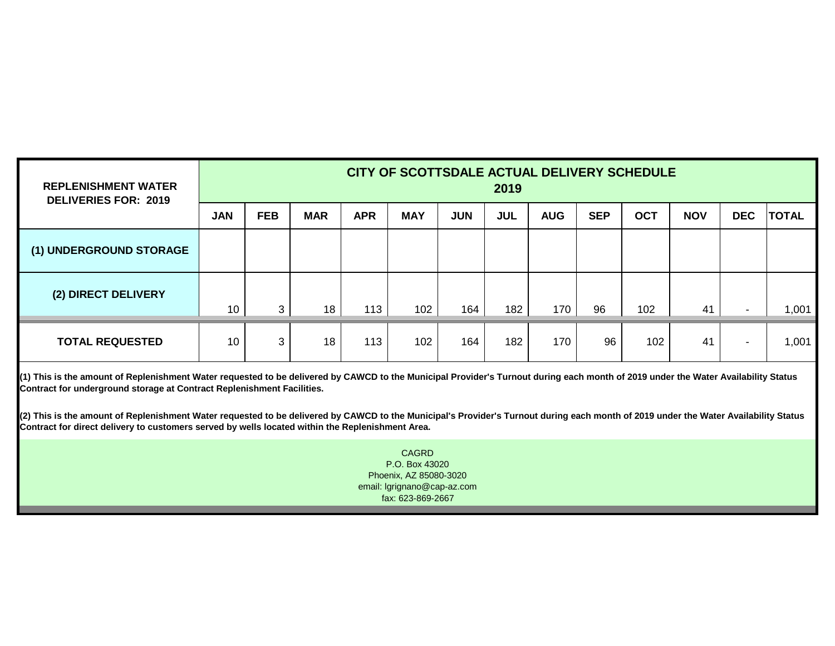| <b>REPLENISHMENT WATER</b><br><b>DELIVERIES FOR: 2019</b> | CITY OF SCOTTSDALE ACTUAL DELIVERY SCHEDULE<br>2019 |              |            |            |            |            |            |            |            |            |            |            |              |
|-----------------------------------------------------------|-----------------------------------------------------|--------------|------------|------------|------------|------------|------------|------------|------------|------------|------------|------------|--------------|
|                                                           | <b>JAN</b>                                          | <b>FEB</b>   | <b>MAR</b> | <b>APR</b> | <b>MAY</b> | <b>JUN</b> | <b>JUL</b> | <b>AUG</b> | <b>SEP</b> | <b>OCT</b> | <b>NOV</b> | <b>DEC</b> | <b>TOTAL</b> |
| (1) UNDERGROUND STORAGE                                   |                                                     |              |            |            |            |            |            |            |            |            |            |            |              |
| (2) DIRECT DELIVERY                                       | 10                                                  | $\mathbf{3}$ | 18         | 113        | 102        | 164        | 182        | 170        | 96         | 102        | 41         | $\sim$     | 1,001        |
| <b>TOTAL REQUESTED</b>                                    | 10                                                  | 3            | 18         | 113        | 102        | 164        | 182        | 170        | 96         | 102        | 41         | $\sim$     | 1,001        |

**(1) This is the amount of Replenishment Water requested to be delivered by CAWCD to the Municipal Provider's Turnout during each month of 2019 under the Water Availability Status Contract for underground storage at Contract Replenishment Facilities.**

**(2) This is the amount of Replenishment Water requested to be delivered by CAWCD to the Municipal's Provider's Turnout during each month of 2019 under the Water Availability Status Contract for direct delivery to customers served by wells located within the Replenishment Area.**

> fax: 623-869-2667 CAGRD P.O. Box 43020 Phoenix, AZ 85080-3020 email: lgrignano@cap-az.com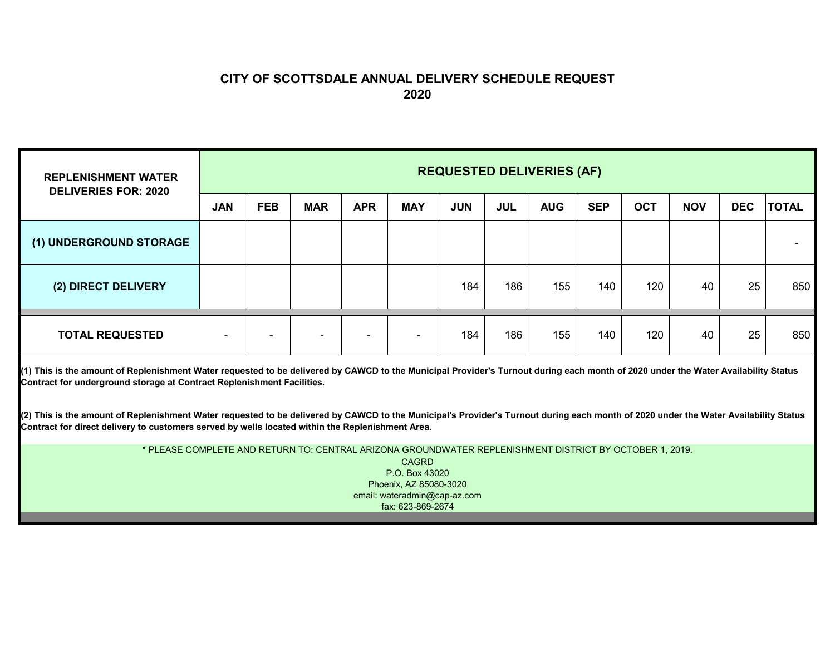## **CITY OF SCOTTSDALE ANNUAL DELIVERY SCHEDULE REQUEST 2020**

| <b>REPLENISHMENT WATER</b><br><b>DELIVERIES FOR: 2020</b> | <b>REQUESTED DELIVERIES (AF)</b> |            |                          |            |                          |            |            |            |            |            |            |            |              |
|-----------------------------------------------------------|----------------------------------|------------|--------------------------|------------|--------------------------|------------|------------|------------|------------|------------|------------|------------|--------------|
|                                                           | <b>JAN</b>                       | <b>FEB</b> | <b>MAR</b>               | <b>APR</b> | <b>MAY</b>               | <b>JUN</b> | <b>JUL</b> | <b>AUG</b> | <b>SEP</b> | <b>OCT</b> | <b>NOV</b> | <b>DEC</b> | <b>TOTAL</b> |
| (1) UNDERGROUND STORAGE                                   |                                  |            |                          |            |                          |            |            |            |            |            |            |            |              |
| (2) DIRECT DELIVERY                                       |                                  |            |                          |            |                          | 184        | 186        | 155        | 140        | 120        | 40         | 25         | 850          |
| <b>TOTAL REQUESTED</b>                                    | $\,$                             |            | $\overline{\phantom{0}}$ |            | $\overline{\phantom{a}}$ | 184        | 186        | 155        | 140        | 120        | 40         | 25         | 850          |

**(1) This is the amount of Replenishment Water requested to be delivered by CAWCD to the Municipal Provider's Turnout during each month of 2020 under the Water Availability Status Contract for underground storage at Contract Replenishment Facilities.**

**(2) This is the amount of Replenishment Water requested to be delivered by CAWCD to the Municipal's Provider's Turnout during each month of 2020 under the Water Availability Status Contract for direct delivery to customers served by wells located within the Replenishment Area.**

> \* PLEASE COMPLETE AND RETURN TO: CENTRAL ARIZONA GROUNDWATER REPLENISHMENT DISTRICT BY OCTOBER 1, 2019. CAGRD P.O. Box 43020Phoenix, AZ 85080-3020 email: wateradmin@cap-az.com fax: 623-869-2674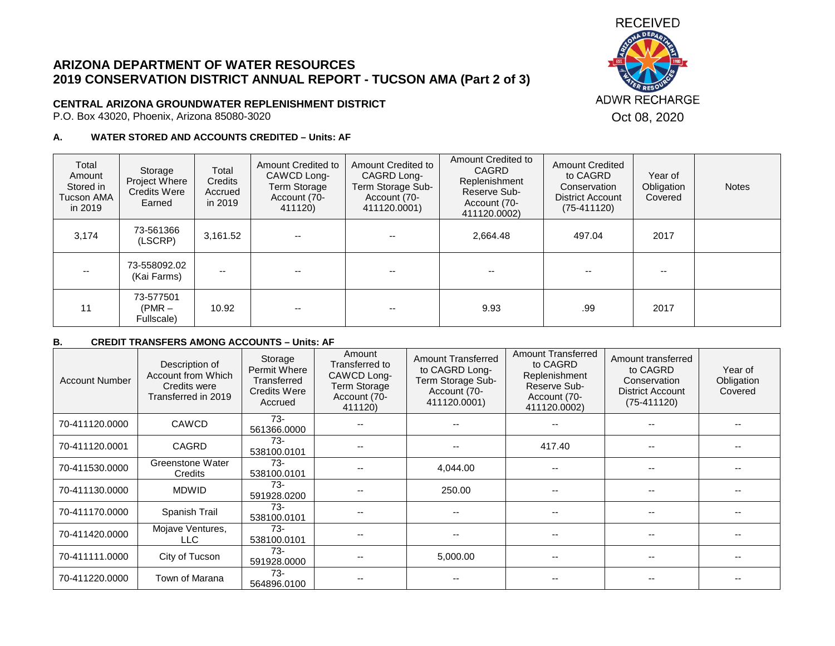# **ARIZONA DEPARTMENT OF WATER RESOURCES 2019 CONSERVATION DISTRICT ANNUAL REPORT - TUCSON AMA (Part 2 of 3)**

### **CENTRAL ARIZONA GROUNDWATER REPLENISHMENT DISTRICT**

 $\overline{\phantom{a}}$ 

P.O. Box 43020, Phoenix, Arizona 85080-3020

### **A. WATER STORED AND ACCOUNTS CREDITED – Units: AF**

 $\overline{\phantom{a}}$ 

| Total<br>Amount<br>Stored in<br>Tucson AMA<br>in 2019 | Storage<br>Project Where<br><b>Credits Were</b><br>Earned | Total<br>Credits<br>Accrued<br>in 2019 | Amount Credited to<br>CAWCD Long-<br>Term Storage<br>Account (70-<br>411120) | Amount Credited to<br>CAGRD Long-<br>Term Storage Sub-<br>Account (70-<br>411120.0001) | Alliudiil Cicultu lu<br><b>CAGRD</b><br>Replenishment<br>Reserve Sub-<br>Account (70-<br>411120.0002) | <b>Amount Credited</b><br>to CAGRD<br>Conservation<br><b>District Account</b><br>$(75-411120)$ | Year of<br>Obligation<br>Covered | <b>Notes</b> |
|-------------------------------------------------------|-----------------------------------------------------------|----------------------------------------|------------------------------------------------------------------------------|----------------------------------------------------------------------------------------|-------------------------------------------------------------------------------------------------------|------------------------------------------------------------------------------------------------|----------------------------------|--------------|
| 3,174                                                 | 73-561366<br>(LSCRP)                                      | 3,161.52                               | --                                                                           |                                                                                        | 2.664.48                                                                                              | 497.04                                                                                         | 2017                             |              |
| $- -$                                                 | 73-558092.02<br>(Kai Farms)                               |                                        |                                                                              |                                                                                        | --                                                                                                    |                                                                                                |                                  |              |
| 11                                                    | 73-577501<br>$(PMR -$<br>Fullscale)                       | 10.92                                  |                                                                              |                                                                                        | 9.93                                                                                                  | .99                                                                                            | 2017                             |              |

Amount Credited to

┱

#### **B. CREDIT TRANSFERS AMONG ACCOUNTS – Units: AF**

| <b>Account Number</b> | Description of<br>Account from Which<br>Credits were<br>Transferred in 2019 | Storage<br>Permit Where<br>Transferred<br><b>Credits Were</b><br>Accrued | Amount<br>Transferred to<br>CAWCD Long-<br><b>Term Storage</b><br>Account (70-<br>411120) | <b>Amount Transferred</b><br>to CAGRD Long-<br>Term Storage Sub-<br>Account (70-<br>411120.0001) | <b>Amount Transferred</b><br>to CAGRD<br>Replenishment<br>Reserve Sub-<br>Account (70-<br>411120.0002) | Amount transferred<br>to CAGRD<br>Conservation<br><b>District Account</b><br>$(75-411120)$ | Year of<br>Obligation<br>Covered |
|-----------------------|-----------------------------------------------------------------------------|--------------------------------------------------------------------------|-------------------------------------------------------------------------------------------|--------------------------------------------------------------------------------------------------|--------------------------------------------------------------------------------------------------------|--------------------------------------------------------------------------------------------|----------------------------------|
| 70-411120.0000        | CAWCD                                                                       | $73-$<br>561366.0000                                                     |                                                                                           |                                                                                                  |                                                                                                        |                                                                                            |                                  |
| 70-411120.0001        | <b>CAGRD</b>                                                                | $73-$<br>538100.0101                                                     |                                                                                           | $- -$                                                                                            | 417.40                                                                                                 | $\sim$ $\sim$                                                                              |                                  |
| 70-411530.0000        | <b>Greenstone Water</b><br>Credits                                          | $73-$<br>538100.0101                                                     |                                                                                           | 4,044.00                                                                                         |                                                                                                        | $\overline{\phantom{m}}$                                                                   |                                  |
| 70-411130.0000        | <b>MDWID</b>                                                                | $73-$<br>591928.0200                                                     |                                                                                           | 250.00                                                                                           | --                                                                                                     | --                                                                                         |                                  |
| 70-411170.0000        | Spanish Trail                                                               | 73-<br>538100.0101                                                       |                                                                                           |                                                                                                  |                                                                                                        | --                                                                                         |                                  |
| 70-411420.0000        | Mojave Ventures,<br>LLC.                                                    | $73-$<br>538100.0101                                                     |                                                                                           |                                                                                                  |                                                                                                        | --                                                                                         |                                  |
| 70-411111.0000        | City of Tucson                                                              | $73-$<br>591928.0000                                                     |                                                                                           | 5,000.00                                                                                         | --                                                                                                     | --                                                                                         |                                  |
| 70-411220.0000        | Town of Marana                                                              | $73-$<br>564896.0100                                                     |                                                                                           |                                                                                                  |                                                                                                        |                                                                                            |                                  |

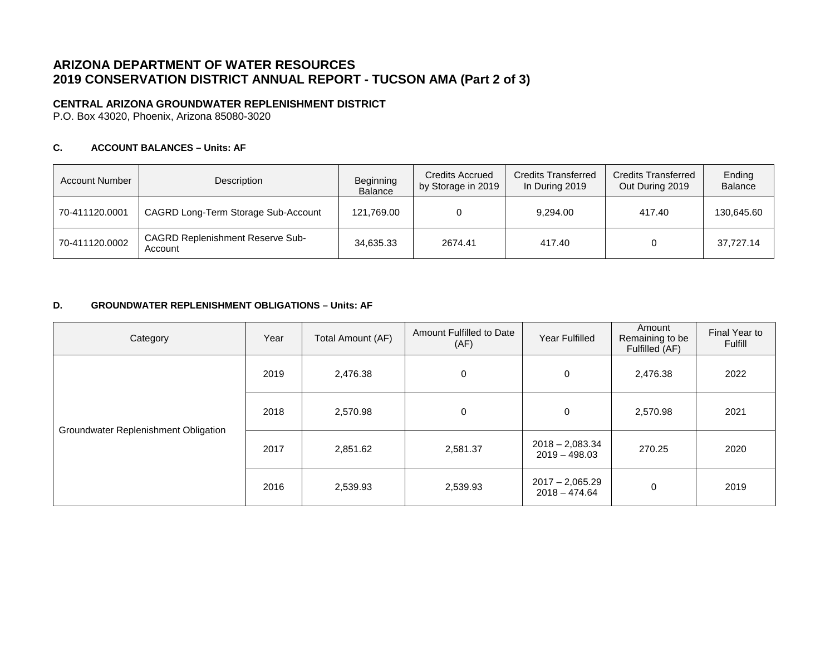# **ARIZONA DEPARTMENT OF WATER RESOURCES 2019 CONSERVATION DISTRICT ANNUAL REPORT - TUCSON AMA (Part 2 of 3)**

### **CENTRAL ARIZONA GROUNDWATER REPLENISHMENT DISTRICT**

P.O. Box 43020, Phoenix, Arizona 85080-3020

### **C. ACCOUNT BALANCES – Units: AF**

| <b>Account Number</b> | Description                                        | Beginning<br>Balance | <b>Credits Accrued</b><br>by Storage in 2019 | <b>Credits Transferred</b><br>In During 2019 | <b>Credits Transferred</b><br>Out During 2019 | Ending<br><b>Balance</b> |
|-----------------------|----------------------------------------------------|----------------------|----------------------------------------------|----------------------------------------------|-----------------------------------------------|--------------------------|
| 70-411120.0001        | CAGRD Long-Term Storage Sub-Account                | 121.769.00           |                                              | 9.294.00                                     | 417.40                                        | 130.645.60               |
| 70-411120.0002        | <b>CAGRD Replenishment Reserve Sub-</b><br>Account | 34,635.33            | 2674.41                                      | 417.40                                       |                                               | 37.727.14                |

#### **D. GROUNDWATER REPLENISHMENT OBLIGATIONS – Units: AF**

| Category                             | Year | Total Amount (AF) | Amount Fulfilled to Date<br>(AF)                 | Year Fulfilled                       | Amount<br>Remaining to be<br>Fulfilled (AF) | Final Year to<br>Fulfill |
|--------------------------------------|------|-------------------|--------------------------------------------------|--------------------------------------|---------------------------------------------|--------------------------|
|                                      | 2019 | 2,476.38          | $\mathbf 0$                                      | $\mathbf 0$                          | 2,476.38                                    | 2022                     |
|                                      | 2018 | 2,570.98          | $\mathbf 0$                                      | 0                                    | 2,570.98                                    | 2021                     |
| Groundwater Replenishment Obligation | 2017 | 2,851.62          | $2018 - 2,083.34$<br>2,581.37<br>$2019 - 498.03$ |                                      | 270.25                                      | 2020                     |
|                                      | 2016 | 2,539.93          | 2,539.93                                         | $2017 - 2,065.29$<br>$2018 - 474.64$ | 0                                           | 2019                     |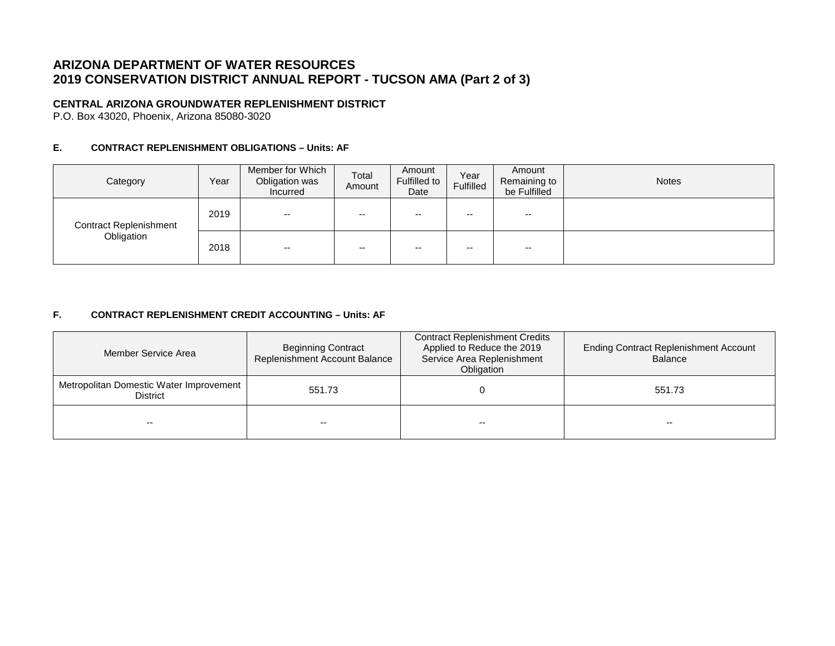# **ARIZONA DEPARTMENT OF WATER RESOURCES 2019 CONSERVATION DISTRICT ANNUAL REPORT - TUCSON AMA (Part 2 of 3)**

### **CENTRAL ARIZONA GROUNDWATER REPLENISHMENT DISTRICT**

P.O. Box 43020, Phoenix, Arizona 85080-3020

### **E. CONTRACT REPLENISHMENT OBLIGATIONS – Units: AF**

| Category                      | Year | Member for Which<br>Obligation was<br>Incurred | Total<br>Amount | Amount<br>Fulfilled to<br>Date | Year<br>Fulfilled | Amount<br>Remaining to<br>be Fulfilled | <b>Notes</b> |
|-------------------------------|------|------------------------------------------------|-----------------|--------------------------------|-------------------|----------------------------------------|--------------|
| <b>Contract Replenishment</b> | 2019 | $- -$                                          | $- -$           | $- -$                          | --                | $- -$                                  |              |
| Obligation                    | 2018 | --                                             | $- -$           | $- -$                          | $- -$             | $- -$                                  |              |

### **F. CONTRACT REPLENISHMENT CREDIT ACCOUNTING – Units: AF**

| Member Service Area                                        | <b>Beginning Contract</b><br>Replenishment Account Balance | <b>Contract Replenishment Credits</b><br>Applied to Reduce the 2019<br>Service Area Replenishment<br><b>Obligation</b> | <b>Ending Contract Replenishment Account</b><br><b>Balance</b> |  |
|------------------------------------------------------------|------------------------------------------------------------|------------------------------------------------------------------------------------------------------------------------|----------------------------------------------------------------|--|
| Metropolitan Domestic Water Improvement<br><b>District</b> | 551.73                                                     |                                                                                                                        | 551.73                                                         |  |
| --                                                         |                                                            | $- -$                                                                                                                  | $- -$                                                          |  |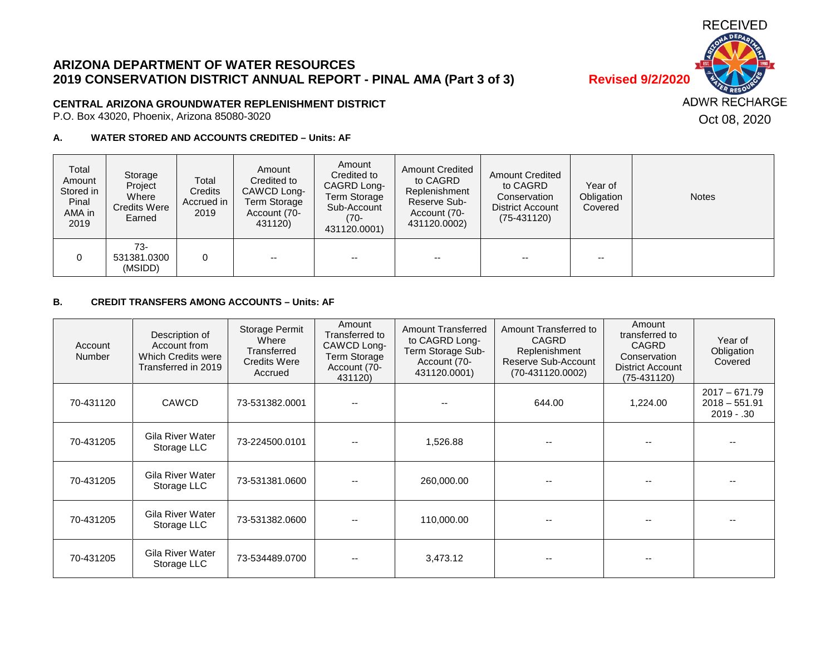

# **ARIZONA DEPARTMENT OF WATER RESOURCES 2019 CONSERVATION DISTRICT ANNUAL REPORT - PINAL AMA (Part 3 of 3) Revised 9/2/2020**

### **CENTRAL ARIZONA GROUNDWATER REPLENISHMENT DISTRICT**

P.O. Box 43020, Phoenix, Arizona 85080-3020

### **A. WATER STORED AND ACCOUNTS CREDITED – Units: AF**

| Total<br>Amount<br>Stored in<br>Pinal<br>AMA in<br>2019 | Storage<br>Project<br>Where<br>Credits Were<br>Earned | Total<br>Credits<br>Accrued in<br>2019 | Amount<br>Credited to<br>CAWCD Long-<br>Term Storage<br>Account (70-<br>431120) | Amount<br>Credited to<br>CAGRD Long-<br><b>Term Storage</b><br>Sub-Account<br>(70-<br>431120.0001) | <b>Amount Credited</b><br>to CAGRD<br>Replenishment<br>Reserve Sub-<br>Account (70-<br>431120.0002) | <b>Amount Credited</b><br>to CAGRD<br>Conservation<br>District Account<br>$(75-431120)$ | Year of<br>Obligation<br>Covered | <b>Notes</b> |
|---------------------------------------------------------|-------------------------------------------------------|----------------------------------------|---------------------------------------------------------------------------------|----------------------------------------------------------------------------------------------------|-----------------------------------------------------------------------------------------------------|-----------------------------------------------------------------------------------------|----------------------------------|--------------|
|                                                         | $73-$<br>531381.0300<br>(MSIDD)                       | 0                                      | $- -$                                                                           | --                                                                                                 | $- -$                                                                                               | --                                                                                      | $- -$                            |              |

### **B. CREDIT TRANSFERS AMONG ACCOUNTS – Units: AF**

| Account<br><b>Number</b> | Description of<br>Account from<br>Which Credits were<br>Transferred in 2019 | <b>Storage Permit</b><br>Where<br>Transferred<br><b>Credits Were</b><br>Accrued | Amount<br>Transferred to<br>CAWCD Long-<br>Term Storage<br>Account (70-<br>431120) | <b>Amount Transferred</b><br>to CAGRD Long-<br>Term Storage Sub-<br>Account (70-<br>431120.0001) | Amount Transferred to<br><b>CAGRD</b><br>Replenishment<br>Reserve Sub-Account<br>$(70-431120.0002)$ | Amount<br>transferred to<br><b>CAGRD</b><br>Conservation<br><b>District Account</b><br>$(75-431120)$ | Year of<br>Obligation<br>Covered                    |
|--------------------------|-----------------------------------------------------------------------------|---------------------------------------------------------------------------------|------------------------------------------------------------------------------------|--------------------------------------------------------------------------------------------------|-----------------------------------------------------------------------------------------------------|------------------------------------------------------------------------------------------------------|-----------------------------------------------------|
| 70-431120                | <b>CAWCD</b>                                                                | 73-531382.0001                                                                  |                                                                                    |                                                                                                  | 644.00                                                                                              | 1,224.00                                                                                             | $2017 - 671.79$<br>$2018 - 551.91$<br>$2019 - 0.30$ |
| 70-431205                | Gila River Water<br>Storage LLC                                             | 73-224500.0101                                                                  |                                                                                    | 1,526.88                                                                                         |                                                                                                     |                                                                                                      |                                                     |
| 70-431205                | Gila River Water<br>Storage LLC                                             | 73-531381.0600                                                                  |                                                                                    | 260,000.00                                                                                       |                                                                                                     |                                                                                                      |                                                     |
| 70-431205                | Gila River Water<br>Storage LLC                                             | 73-531382.0600                                                                  |                                                                                    | 110,000.00                                                                                       |                                                                                                     | --                                                                                                   |                                                     |
| 70-431205                | Gila River Water<br>Storage LLC                                             | 73-534489.0700                                                                  |                                                                                    | 3,473.12                                                                                         |                                                                                                     |                                                                                                      |                                                     |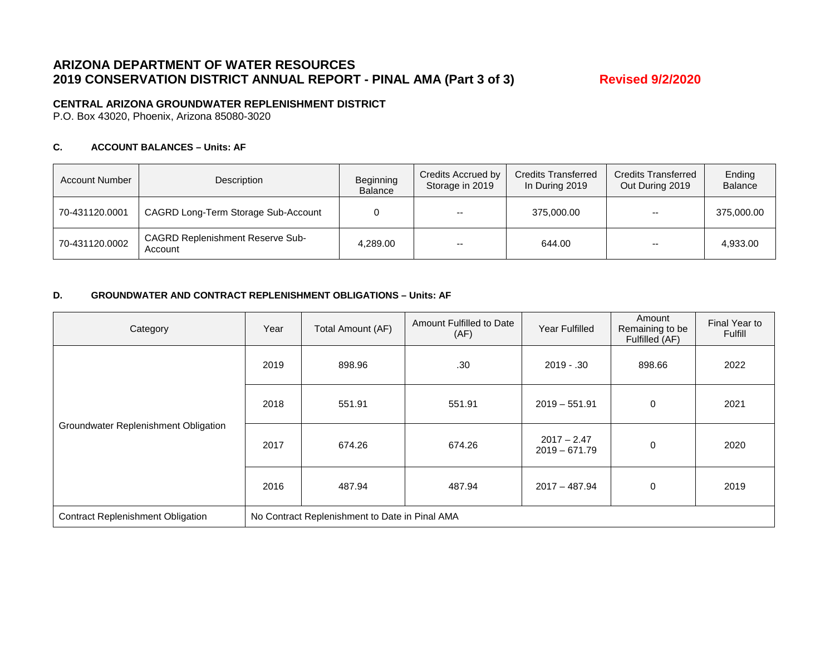## **ARIZONA DEPARTMENT OF WATER RESOURCES 2019 CONSERVATION DISTRICT ANNUAL REPORT - PINAL AMA (Part 3 of 3) Revised 9/2/2020**

### **CENTRAL ARIZONA GROUNDWATER REPLENISHMENT DISTRICT**

P.O. Box 43020, Phoenix, Arizona 85080-3020

### **C. ACCOUNT BALANCES – Units: AF**

| <b>Account Number</b> | Description                                        | Beginning<br><b>Balance</b> | Credits Accrued by<br>Storage in 2019 | <b>Credits Transferred</b><br>In During 2019 | <b>Credits Transferred</b><br>Out During 2019 | Ending<br><b>Balance</b> |
|-----------------------|----------------------------------------------------|-----------------------------|---------------------------------------|----------------------------------------------|-----------------------------------------------|--------------------------|
| 70-431120.0001        | CAGRD Long-Term Storage Sub-Account                |                             | $- -$                                 | 375,000.00                                   | $- -$                                         | 375,000.00               |
| 70-431120.0002        | <b>CAGRD Replenishment Reserve Sub-</b><br>Account | 4.289.00                    | $- -$                                 | 644.00                                       | $- -$                                         | 4.933.00                 |

#### **D. GROUNDWATER AND CONTRACT REPLENISHMENT OBLIGATIONS – Units: AF**

| Category                                 | Year                                           | Total Amount (AF) | Amount Fulfilled to Date<br>(AF) | <b>Year Fulfilled</b>            | Amount<br>Remaining to be<br>Fulfilled (AF) | Final Year to<br>Fulfill |  |
|------------------------------------------|------------------------------------------------|-------------------|----------------------------------|----------------------------------|---------------------------------------------|--------------------------|--|
| Groundwater Replenishment Obligation     | 2019                                           | 898.96            | .30                              | $2019 - .30$                     | 898.66                                      | 2022                     |  |
|                                          | 2018                                           | 551.91            | 551.91                           | $2019 - 551.91$                  | $\mathbf 0$                                 | 2021                     |  |
|                                          | 2017                                           | 674.26            | 674.26                           | $2017 - 2.47$<br>$2019 - 671.79$ | 0                                           | 2020                     |  |
|                                          | 2016                                           | 487.94            | 487.94                           | $2017 - 487.94$                  | 0                                           | 2019                     |  |
| <b>Contract Replenishment Obligation</b> | No Contract Replenishment to Date in Pinal AMA |                   |                                  |                                  |                                             |                          |  |